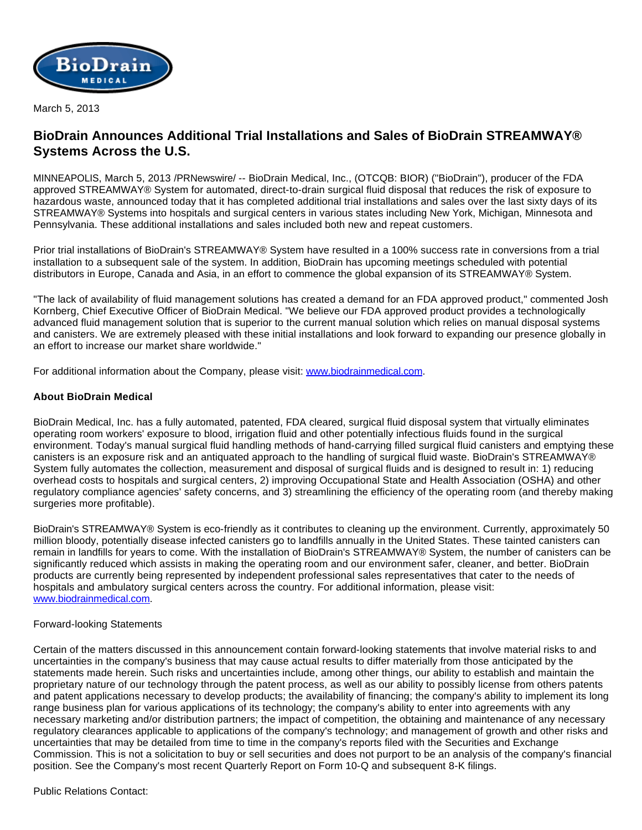

March 5, 2013

## **BioDrain Announces Additional Trial Installations and Sales of BioDrain STREAMWAY® Systems Across the U.S.**

MINNEAPOLIS, March 5, 2013 /PRNewswire/ -- BioDrain Medical, Inc., (OTCQB: BIOR) ("BioDrain"), producer of the FDA approved STREAMWAY® System for automated, direct-to-drain surgical fluid disposal that reduces the risk of exposure to hazardous waste, announced today that it has completed additional trial installations and sales over the last sixty days of its STREAMWAY® Systems into hospitals and surgical centers in various states including New York, Michigan, Minnesota and Pennsylvania. These additional installations and sales included both new and repeat customers.

Prior trial installations of BioDrain's STREAMWAY® System have resulted in a 100% success rate in conversions from a trial installation to a subsequent sale of the system. In addition, BioDrain has upcoming meetings scheduled with potential distributors in Europe, Canada and Asia, in an effort to commence the global expansion of its STREAMWAY® System.

"The lack of availability of fluid management solutions has created a demand for an FDA approved product," commented Josh Kornberg, Chief Executive Officer of BioDrain Medical. "We believe our FDA approved product provides a technologically advanced fluid management solution that is superior to the current manual solution which relies on manual disposal systems and canisters. We are extremely pleased with these initial installations and look forward to expanding our presence globally in an effort to increase our market share worldwide."

For additional information about the Company, please visit: [www.biodrainmedical.com](http://www.biodrainmedical.com/).

## **About BioDrain Medical**

BioDrain Medical, Inc. has a fully automated, patented, FDA cleared, surgical fluid disposal system that virtually eliminates operating room workers' exposure to blood, irrigation fluid and other potentially infectious fluids found in the surgical environment. Today's manual surgical fluid handling methods of hand-carrying filled surgical fluid canisters and emptying these canisters is an exposure risk and an antiquated approach to the handling of surgical fluid waste. BioDrain's STREAMWAY® System fully automates the collection, measurement and disposal of surgical fluids and is designed to result in: 1) reducing overhead costs to hospitals and surgical centers, 2) improving Occupational State and Health Association (OSHA) and other regulatory compliance agencies' safety concerns, and 3) streamlining the efficiency of the operating room (and thereby making surgeries more profitable).

BioDrain's STREAMWAY® System is eco-friendly as it contributes to cleaning up the environment. Currently, approximately 50 million bloody, potentially disease infected canisters go to landfills annually in the United States. These tainted canisters can remain in landfills for years to come. With the installation of BioDrain's STREAMWAY® System, the number of canisters can be significantly reduced which assists in making the operating room and our environment safer, cleaner, and better. BioDrain products are currently being represented by independent professional sales representatives that cater to the needs of hospitals and ambulatory surgical centers across the country. For additional information, please visit: [www.biodrainmedical.com.](http://www.biodrainmedical.com/)

## Forward-looking Statements

Certain of the matters discussed in this announcement contain forward-looking statements that involve material risks to and uncertainties in the company's business that may cause actual results to differ materially from those anticipated by the statements made herein. Such risks and uncertainties include, among other things, our ability to establish and maintain the proprietary nature of our technology through the patent process, as well as our ability to possibly license from others patents and patent applications necessary to develop products; the availability of financing; the company's ability to implement its long range business plan for various applications of its technology; the company's ability to enter into agreements with any necessary marketing and/or distribution partners; the impact of competition, the obtaining and maintenance of any necessary regulatory clearances applicable to applications of the company's technology; and management of growth and other risks and uncertainties that may be detailed from time to time in the company's reports filed with the Securities and Exchange Commission. This is not a solicitation to buy or sell securities and does not purport to be an analysis of the company's financial position. See the Company's most recent Quarterly Report on Form 10-Q and subsequent 8-K filings.